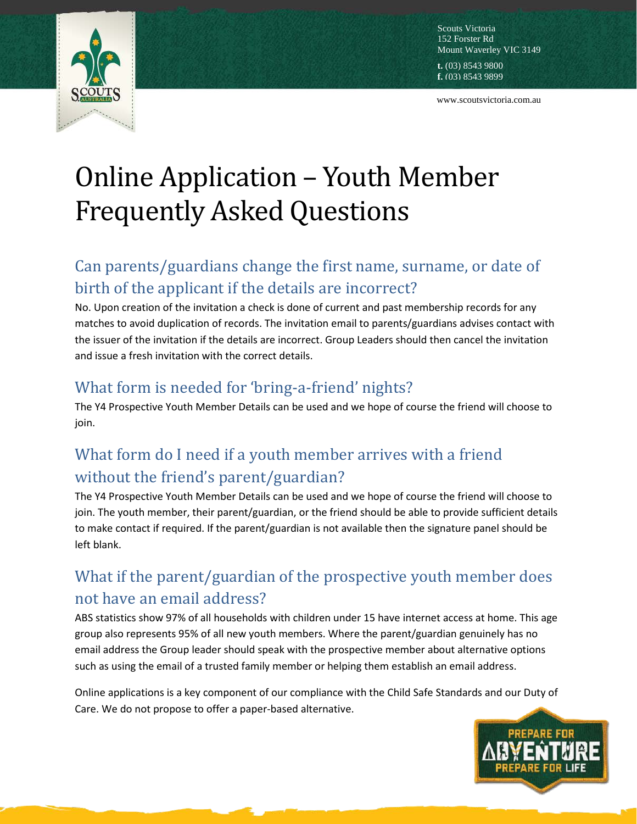

Scouts Victoria 152 Forster Rd Mount Waverley VIC 3149

**t.** (03) 8543 9800 **f.** (03) 8543 9899

www.scoutsvictoria.com.au

# Online Application – Youth Member Frequently Asked Questions

## Can parents/guardians change the first name, surname, or date of birth of the applicant if the details are incorrect?

No. Upon creation of the invitation a check is done of current and past membership records for any matches to avoid duplication of records. The invitation email to parents/guardians advises contact with the issuer of the invitation if the details are incorrect. Group Leaders should then cancel the invitation and issue a fresh invitation with the correct details.

#### What form is needed for 'bring-a-friend' nights?

The Y4 Prospective Youth Member Details can be used and we hope of course the friend will choose to join.

## What form do I need if a youth member arrives with a friend without the friend's parent/guardian?

The Y4 Prospective Youth Member Details can be used and we hope of course the friend will choose to join. The youth member, their parent/guardian, or the friend should be able to provide sufficient details to make contact if required. If the parent/guardian is not available then the signature panel should be left blank.

## What if the parent/guardian of the prospective youth member does not have an email address?

ABS statistics show 97% of all households with children under 15 have internet access at home. This age group also represents 95% of all new youth members. Where the parent/guardian genuinely has no email address the Group leader should speak with the prospective member about alternative options such as using the email of a trusted family member or helping them establish an email address.

Online applications is a key component of our compliance with the Child Safe Standards and our Duty of Care. We do not propose to offer a paper-based alternative.